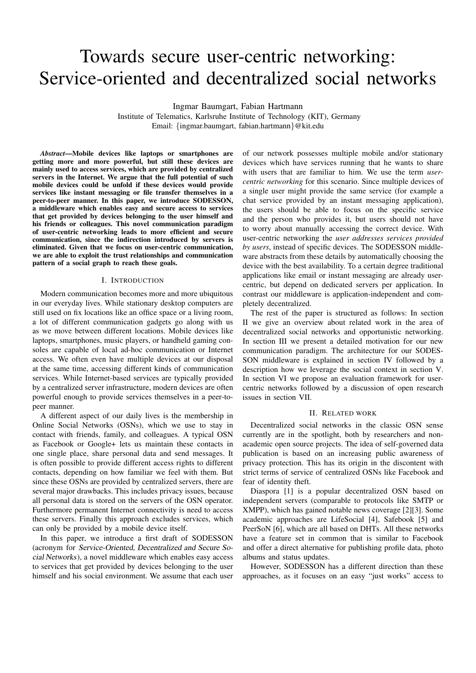# Towards secure user-centric networking: Service-oriented and decentralized social networks

Ingmar Baumgart, Fabian Hartmann

Institute of Telematics, Karlsruhe Institute of Technology (KIT), Germany Email: {ingmar.baumgart, fabian.hartmann}@kit.edu

*Abstract*—Mobile devices like laptops or smartphones are getting more and more powerful, but still these devices are mainly used to access services, which are provided by centralized servers in the Internet. We argue that the full potential of such mobile devices could be unfold if these devices would provide services like instant messaging or file transfer themselves in a peer-to-peer manner. In this paper, we introduce SODESSON, a middleware which enables easy and secure access to services that get provided by devices belonging to the user himself and his friends or colleagues. This novel communication paradigm of user-centric networking leads to more efficient and secure communication, since the indirection introduced by servers is eliminated. Given that we focus on user-centric communication, we are able to exploit the trust relationships and communication pattern of a social graph to reach these goals.

# I. INTRODUCTION

Modern communication becomes more and more ubiquitous in our everyday lives. While stationary desktop computers are still used on fix locations like an office space or a living room, a lot of different communication gadgets go along with us as we move between different locations. Mobile devices like laptops, smartphones, music players, or handheld gaming consoles are capable of local ad-hoc communication or Internet access. We often even have multiple devices at our disposal at the same time, accessing different kinds of communication services. While Internet-based services are typically provided by a centralized server infrastructure, modern devices are often powerful enough to provide services themselves in a peer-topeer manner.

A different aspect of our daily lives is the membership in Online Social Networks (OSNs), which we use to stay in contact with friends, family, and colleagues. A typical OSN as Facebook or Google+ lets us maintain these contacts in one single place, share personal data and send messages. It is often possible to provide different access rights to different contacts, depending on how familiar we feel with them. But since these OSNs are provided by centralized servers, there are several major drawbacks. This includes privacy issues, because all personal data is stored on the servers of the OSN operator. Furthermore permanent Internet connectivity is need to access these servers. Finally this approach excludes services, which can only be provided by a mobile device itself.

In this paper, we introduce a first draft of SODESSON (acronym for Service-Oriented, Decentralized and Secure Social Networks), a novel middleware which enables easy access to services that get provided by devices belonging to the user himself and his social environment. We assume that each user of our network possesses multiple mobile and/or stationary devices which have services running that he wants to share with users that are familiar to him. We use the term *usercentric networking* for this scenario. Since multiple devices of a single user might provide the same service (for example a chat service provided by an instant messaging application), the users should be able to focus on the specific service and the person who provides it, but users should not have to worry about manually accessing the correct device. With user-centric networking the *user addresses services provided by users*, instead of specific devices. The SODESSON middleware abstracts from these details by automatically choosing the device with the best availability. To a certain degree traditional applications like email or instant messaging are already usercentric, but depend on dedicated servers per application. In contrast our middleware is application-independent and completely decentralized.

The rest of the paper is structured as follows: In section II we give an overview about related work in the area of decentralized social networks and opportunistic networking. In section III we present a detailed motivation for our new communication paradigm. The architecture for our SODES-SON middleware is explained in section IV followed by a description how we leverage the social context in section V. In section VI we propose an evaluation framework for usercentric networks followed by a discussion of open research issues in section VII.

## II. RELATED WORK

Decentralized social networks in the classic OSN sense currently are in the spotlight, both by researchers and nonacademic open source projects. The idea of self-governed data publication is based on an increasing public awareness of privacy protection. This has its origin in the discontent with strict terms of service of centralized OSNs like Facebook and fear of identity theft.

Diaspora [1] is a popular decentralized OSN based on independent servers (comparable to protocols like SMTP or XMPP), which has gained notable news coverage [2][3]. Some academic approaches are LifeSocial [4], Safebook [5] and PeerSoN [6], which are all based on DHTs. All these networks have a feature set in common that is similar to Facebook and offer a direct alternative for publishing profile data, photo albums and status updates.

However, SODESSON has a different direction than these approaches, as it focuses on an easy "just works" access to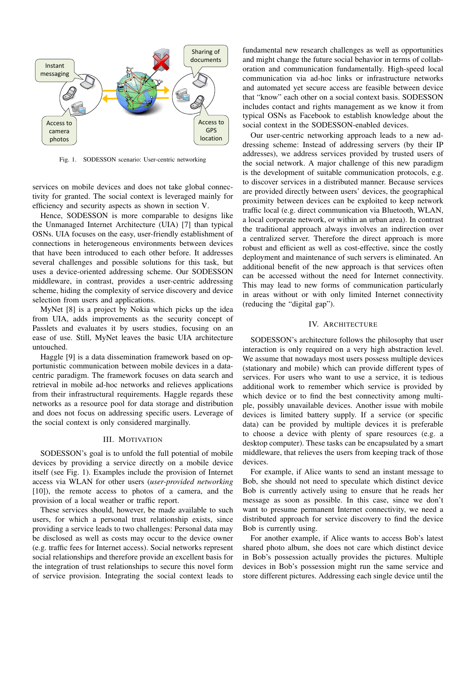

Fig. 1. SODESSON scenario: User-centric networking

services on mobile devices and does not take global connectivity for granted. The social context is leveraged mainly for efficiency and security aspects as shown in section V.

Hence, SODESSON is more comparable to designs like the Unmanaged Internet Architecture (UIA) [7] than typical OSNs. UIA focuses on the easy, user-friendly establishment of connections in heterogeneous environments between devices that have been introduced to each other before. It addresses several challenges and possible solutions for this task, but uses a device-oriented addressing scheme. Our SODESSON middleware, in contrast, provides a user-centric addressing scheme, hiding the complexity of service discovery and device selection from users and applications.

MyNet [8] is a project by Nokia which picks up the idea from UIA, adds improvements as the security concept of Passlets and evaluates it by users studies, focusing on an ease of use. Still, MyNet leaves the basic UIA architecture untouched.

Haggle [9] is a data dissemination framework based on opportunistic communication between mobile devices in a datacentric paradigm. The framework focuses on data search and retrieval in mobile ad-hoc networks and relieves applications from their infrastructural requirements. Haggle regards these networks as a resource pool for data storage and distribution and does not focus on addressing specific users. Leverage of the social context is only considered marginally.

# III. MOTIVATION

SODESSON's goal is to unfold the full potential of mobile devices by providing a service directly on a mobile device itself (see Fig. 1). Examples include the provision of Internet access via WLAN for other users (*user-provided networking* [10]), the remote access to photos of a camera, and the provision of a local weather or traffic report.

These services should, however, be made available to such users, for which a personal trust relationship exists, since providing a service leads to two challenges: Personal data may be disclosed as well as costs may occur to the device owner (e.g. traffic fees for Internet access). Social networks represent social relationships and therefore provide an excellent basis for the integration of trust relationships to secure this novel form of service provision. Integrating the social context leads to

fundamental new research challenges as well as opportunities and might change the future social behavior in terms of collaboration and communication fundamentally. High-speed local communication via ad-hoc links or infrastructure networks and automated yet secure access are feasible between device that "know" each other on a social context basis. SODESSON includes contact and rights management as we know it from typical OSNs as Facebook to establish knowledge about the social context in the SODESSON-enabled devices.

Our user-centric networking approach leads to a new addressing scheme: Instead of addressing servers (by their IP addresses), we address services provided by trusted users of the social network. A major challenge of this new paradigm is the development of suitable communication protocols, e.g. to discover services in a distributed manner. Because services are provided directly between users' devices, the geographical proximity between devices can be exploited to keep network traffic local (e.g. direct communication via Bluetooth, WLAN, a local corporate network, or within an urban area). In contrast the traditional approach always involves an indirection over a centralized server. Therefore the direct approach is more robust and efficient as well as cost-effective, since the costly deployment and maintenance of such servers is eliminated. An additional benefit of the new approach is that services often can be accessed without the need for Internet connectivity. This may lead to new forms of communication particularly in areas without or with only limited Internet connectivity (reducing the "digital gap").

## IV. ARCHITECTURE

SODESSON's architecture follows the philosophy that user interaction is only required on a very high abstraction level. We assume that nowadays most users possess multiple devices (stationary and mobile) which can provide different types of services. For users who want to use a service, it is tedious additional work to remember which service is provided by which device or to find the best connectivity among multiple, possibly unavailable devices. Another issue with mobile devices is limited battery supply. If a service (or specific data) can be provided by multiple devices it is preferable to choose a device with plenty of spare resources (e.g. a desktop computer). These tasks can be encapsulated by a smart middleware, that relieves the users from keeping track of those devices.

For example, if Alice wants to send an instant message to Bob, she should not need to speculate which distinct device Bob is currently actively using to ensure that he reads her message as soon as possible. In this case, since we don't want to presume permanent Internet connectivity, we need a distributed approach for service discovery to find the device Bob is currently using.

For another example, if Alice wants to access Bob's latest shared photo album, she does not care which distinct device in Bob's possession actually provides the pictures. Multiple devices in Bob's possession might run the same service and store different pictures. Addressing each single device until the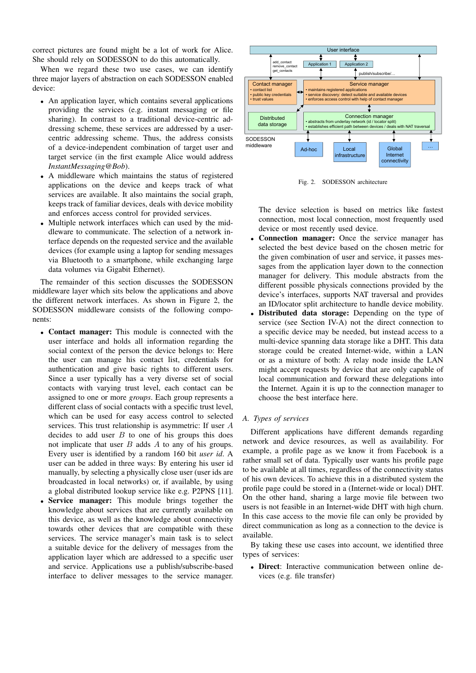correct pictures are found might be a lot of work for Alice. She should rely on SODESSON to do this automatically.

When we regard these two use cases, we can identify three major layers of abstraction on each SODESSON enabled device:

- An application layer, which contains several applications providing the services (e.g. instant messaging or file sharing). In contrast to a traditional device-centric addressing scheme, these services are addressed by a usercentric addressing scheme. Thus, the address consists of a device-independent combination of target user and target service (in the first example Alice would address *InstantMessaging@Bob*).
- A middleware which maintains the status of registered applications on the device and keeps track of what services are available. It also maintains the social graph, keeps track of familiar devices, deals with device mobility and enforces access control for provided services.
- Multiple network interfaces which can used by the middleware to communicate. The selection of a network interface depends on the requested service and the available devices (for example using a laptop for sending messages via Bluetooth to a smartphone, while exchanging large data volumes via Gigabit Ethernet).

The remainder of this section discusses the SODESSON middleware layer which sits below the applications and above the different network interfaces. As shown in Figure 2, the SODESSON middleware consists of the following components:

- Contact manager: This module is connected with the user interface and holds all information regarding the social context of the person the device belongs to: Here the user can manage his contact list, credentials for authentication and give basic rights to different users. Since a user typically has a very diverse set of social contacts with varying trust level, each contact can be assigned to one or more *groups*. Each group represents a different class of social contacts with a specific trust level, which can be used for easy access control to selected services. This trust relationship is asymmetric: If user A decides to add user  $B$  to one of his groups this does not implicate that user  $B$  adds  $A$  to any of his groups. Every user is identified by a random 160 bit *user id*. A user can be added in three ways: By entering his user id manually, by selecting a physically close user (user ids are broadcasted in local networks) or, if available, by using a global distributed lookup service like e.g. P2PNS [11].
- Service manager: This module brings together the knowledge about services that are currently available on this device, as well as the knowledge about connectivity towards other devices that are compatible with these services. The service manager's main task is to select a suitable device for the delivery of messages from the application layer which are addressed to a specific user and service. Applications use a publish/subscribe-based interface to deliver messages to the service manager.



Fig. 2. SODESSON architecture

The device selection is based on metrics like fastest connection, most local connection, most frequently used device or most recently used device.

- Connection manager: Once the service manager has selected the best device based on the chosen metric for the given combination of user and service, it passes messages from the application layer down to the connection manager for delivery. This module abstracts from the different possible physicals connections provided by the device's interfaces, supports NAT traversal and provides an ID/locator split architecture to handle device mobility.
- **Distributed data storage:** Depending on the type of service (see Section IV-A) not the direct connection to a specific device may be needed, but instead access to a multi-device spanning data storage like a DHT. This data storage could be created Internet-wide, within a LAN or as a mixture of both: A relay node inside the LAN might accept requests by device that are only capable of local communication and forward these delegations into the Internet. Again it is up to the connection manager to choose the best interface here.

# *A. Types of services*

Different applications have different demands regarding network and device resources, as well as availability. For example, a profile page as we know it from Facebook is a rather small set of data. Typically user wants his profile page to be available at all times, regardless of the connectivity status of his own devices. To achieve this in a distributed system the profile page could be stored in a (Internet-wide or local) DHT. On the other hand, sharing a large movie file between two users is not feasible in an Internet-wide DHT with high churn. In this case access to the movie file can only be provided by direct communication as long as a connection to the device is available.

By taking these use cases into account, we identified three types of services:

• Direct: Interactive communication between online devices (e.g. file transfer)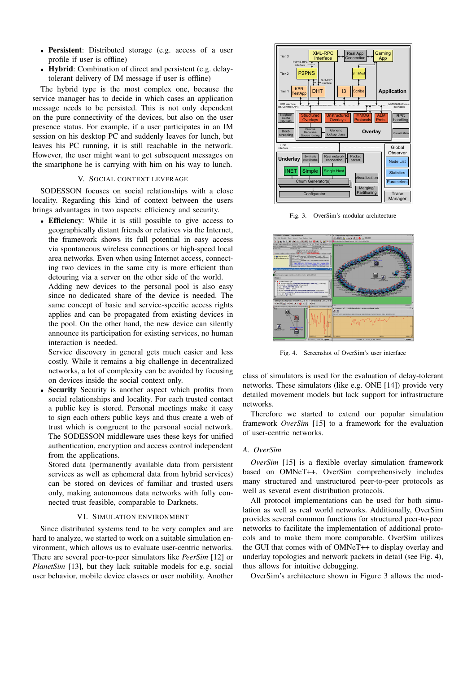- Persistent: Distributed storage (e.g. access of a user profile if user is offline)
- Hybrid: Combination of direct and persistent (e.g. delaytolerant delivery of IM message if user is offline)

The hybrid type is the most complex one, because the service manager has to decide in which cases an application message needs to be persisted. This is not only dependent on the pure connectivity of the devices, but also on the user presence status. For example, if a user participates in an IM session on his desktop PC and suddenly leaves for lunch, but leaves his PC running, it is still reachable in the network. However, the user might want to get subsequent messages on the smartphone he is carrying with him on his way to lunch.

# V. SOCIAL CONTEXT LEVERAGE

SODESSON focuses on social relationships with a close locality. Regarding this kind of context between the users brings advantages in two aspects: efficiency and security.

• Efficiency: While it is still possible to give access to geographically distant friends or relatives via the Internet, the framework shows its full potential in easy access via spontaneous wireless connections or high-speed local area networks. Even when using Internet access, connecting two devices in the same city is more efficient than detouring via a server on the other side of the world.

Adding new devices to the personal pool is also easy since no dedicated share of the device is needed. The same concept of basic and service-specific access rights applies and can be propagated from existing devices in the pool. On the other hand, the new device can silently announce its participation for existing services, no human interaction is needed.

Service discovery in general gets much easier and less costly. While it remains a big challenge in decentralized networks, a lot of complexity can be avoided by focusing on devices inside the social context only.

Security Security is another aspect which profits from social relationships and locality. For each trusted contact a public key is stored. Personal meetings make it easy to sign each others public keys and thus create a web of trust which is congruent to the personal social network. The SODESSON middleware uses these keys for unified authentication, encryption and access control independent from the applications.

Stored data (permanently available data from persistent services as well as ephemeral data from hybrid services) can be stored on devices of familiar and trusted users only, making autonomous data networks with fully connected trust feasible, comparable to Darknets.

#### VI. SIMULATION ENVIRONMENT

Since distributed systems tend to be very complex and are hard to analyze, we started to work on a suitable simulation environment, which allows us to evaluate user-centric networks. There are several peer-to-peer simulators like *PeerSim* [12] or *PlanetSim* [13], but they lack suitable models for e.g. social user behavior, mobile device classes or user mobility. Another



Fig. 3. OverSim's modular architecture



Fig. 4. Screenshot of OverSim's user interface

class of simulators is used for the evaluation of delay-tolerant networks. These simulators (like e.g. ONE [14]) provide very detailed movement models but lack support for infrastructure networks.

Therefore we started to extend our popular simulation framework *OverSim* [15] to a framework for the evaluation of user-centric networks.

# *A. OverSim*

*OverSim* [15] is a flexible overlay simulation framework based on OMNeT++. OverSim comprehensively includes many structured and unstructured peer-to-peer protocols as well as several event distribution protocols.

All protocol implementations can be used for both simulation as well as real world networks. Additionally, OverSim provides several common functions for structured peer-to-peer networks to facilitate the implementation of additional protocols and to make them more comparable. OverSim utilizes the GUI that comes with of OMNeT++ to display overlay and underlay topologies and network packets in detail (see Fig. 4), thus allows for intuitive debugging.

OverSim's architecture shown in Figure 3 allows the mod-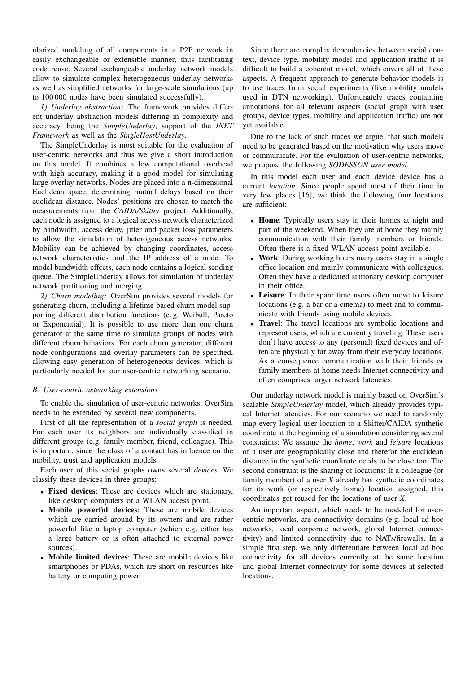ularized modeling of all components in a P2P network in easily exchangeable or extensible manner, thus facilitating code reuse. Several exchangeable underlay network models allow to simulate complex heterogeneous underlay networks as well as simplified networks for large-scale simulations (up to 100 000 nodes have been simulated successfully).

*1) Underlay abstraction:* The framework provides different underlay abstraction models differing in complexity and accuracy, being the *SimpleUnderlay*, support of the *INET Framework* as well as the *SingleHostUnderlay*.

The SimpleUnderlay is most suitable for the evaluation of user-centric networks and thus we give a short introduction on this model. It combines a low computational overhead with high accuracy, making it a good model for simulating large overlay networks. Nodes are placed into a n-dimensional Euclidean space, determining mutual delays based on their euclidean distance. Nodes' positions are chosen to match the measurements from the *CAIDA/Skitter* project. Additionally, each node is assigned to a logical access network characterized by bandwidth, access delay, jitter and packet loss parameters to allow the simulation of heterogeneous access networks. Mobility can be achieved by changing coordinates, access network characteristics and the IP address of a node. To model bandwidth effects, each node contains a logical sending queue. The SimpleUnderlay allows for simulation of underlay network partitioning and merging.

*2) Churn modeling:* OverSim provides several models for generating churn, including a lifetime-based churn model supporting different distribution functions (e. g. Weibull, Pareto or Exponential). It is possible to use more than one churn generator at the same time to simulate groups of nodes with different churn behaviors. For each churn generator, different node configurations and overlay parameters can be specified, allowing easy generation of heterogeneous devices, which is particularly needed for our user-centric networking scenario.

# *B. User-centric networking extensions*

To enable the simulation of user-centric networks, OverSim needs to be extended by several new components.

First of all the representation of a *social graph* is needed. For each user its neighbors are individually classified in different groups (e.g. family member, friend, colleague). This is important, since the class of a contact has influence on the mobility, trust and application models.

Each user of this social graphs owns several *devices*. We classify these devices in three groups:

- Fixed devices: These are devices which are stationary, like desktop computers or a WLAN access point.
- Mobile powerful devices: These are mobile devices which are carried around by its owners and are rather powerful like a laptop computer (which e.g. either has a large battery or is often attached to external power sources).
- Mobile limited devices: These are mobile devices like smartphones or PDAs, which are short on resources like battery or computing power.

Since there are complex dependencies between social context, device type, mobility model and application traffic it is difficult to build a coherent model, which covers all of these aspects. A frequent approach to generate behavior models is to use traces from social experiments (like mobility models used in DTN networking). Unfortunately traces containing annotations for all relevant aspects (social graph with user groups, device types, mobility and application traffic) are not yet available.

Due to the lack of such traces we argue, that such models need to be generated based on the motivation why users move or communicate. For the evaluation of user-centric networks, we propose the following *SODESSON user model*.

In this model each user and each device device has a current *location*. Since people spend most of their time in very few places [16], we think the following four locations are sufficient:

- Home: Typically users stay in their homes at night and part of the weekend. When they are at home they mainly communication with their family members or friends. Often there is a fixed WLAN access point available.
- Work: During working hours many users stay in a single office location and mainly communicate with colleagues. Often they have a dedicated stationary desktop computer in their office.
- **Leisure**: In their spare time users often move to leisure locations (e.g. a bar or a cinema) to meet and to communicate with friends using mobile devices.
- Travel: The travel locations are symbolic locations and represent users, which are currently traveling. These users don't have access to any (personal) fixed devices and often are physically far away from their everyday locations. As a consequence communication with their friends or family members at home needs Internet connectivity and often comprises larger network latencies.

Our underlay network model is mainly based on OverSim's scalable *SimpleUnderlay* model, which already provides typical Internet latencies. For our scenario we need to randomly map every logical user location to a Skitter/CAIDA synthetic coordinate at the beginning of a simulation considering several constraints: We assume the *home*, *work* and *leisure* locations of a user are geographically close and therefor the euclidean distance in the synthetic coordinate needs to be close too. The second constraint is the sharing of locations: If a colleague (or family member) of a user *X* already has synthetic coordinates for its work (or respectively home) location assigned, this coordinates get reused for the locations of user *X*.

An important aspect, which needs to be modeled for usercentric networks, are connectivity domains (e.g. local ad hoc networks, local corporate network, global Internet connectivity) and limited connectivity due to NATs/firewalls. In a simple first step, we only differentiate between local ad hoc connectivity for all devices currently at the same location and global Internet connectivity for some devices at selected locations.